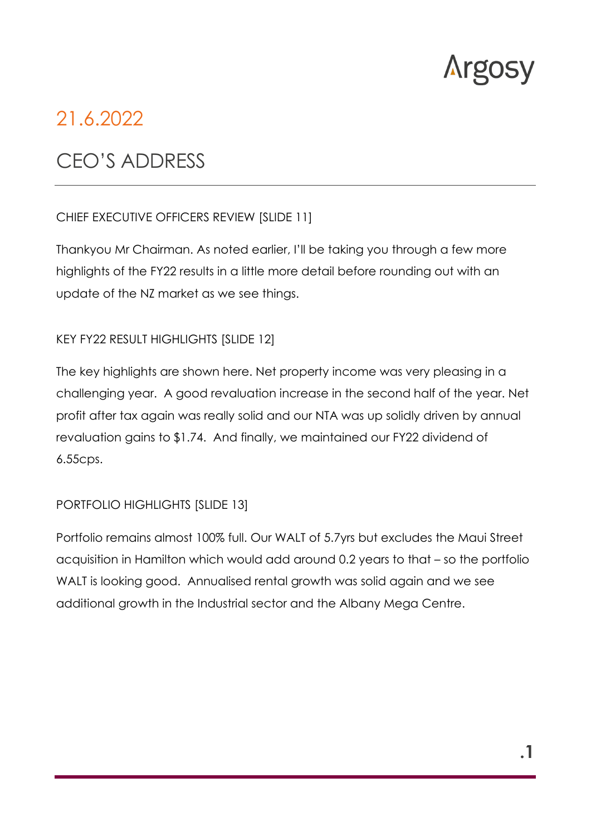

# 21.6.2022

# CEO'S ADDRESS

#### CHIEF EXECUTIVE OFFICERS REVIEW [SLIDE 11]

Thankyou Mr Chairman. As noted earlier, I'll be taking you through a few more highlights of the FY22 results in a little more detail before rounding out with an update of the NZ market as we see things.

#### KEY FY22 RESULT HIGHLIGHTS [SLIDE 12]

The key highlights are shown here. Net property income was very pleasing in a challenging year. A good revaluation increase in the second half of the year. Net profit after tax again was really solid and our NTA was up solidly driven by annual revaluation gains to \$1.74. And finally, we maintained our FY22 dividend of 6.55cps.

#### PORTFOLIO HIGHLIGHTS [SLIDE 13]

Portfolio remains almost 100% full. Our WALT of 5.7yrs but excludes the Maui Street acquisition in Hamilton which would add around 0.2 years to that – so the portfolio WALT is looking good. Annualised rental growth was solid again and we see additional growth in the Industrial sector and the Albany Mega Centre.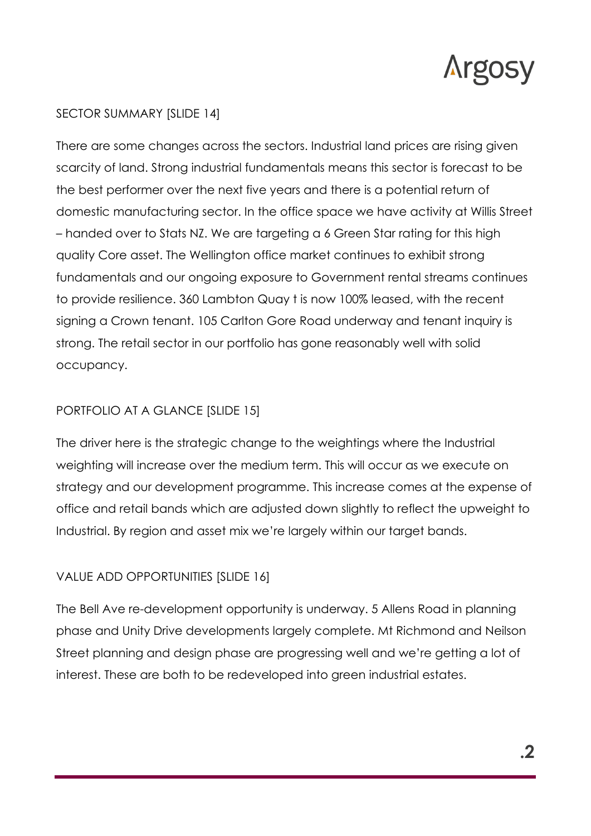

### SECTOR SUMMARY [SLIDE 14]

There are some changes across the sectors. Industrial land prices are rising given scarcity of land. Strong industrial fundamentals means this sector is forecast to be the best performer over the next five years and there is a potential return of domestic manufacturing sector. In the office space we have activity at Willis Street – handed over to Stats NZ. We are targeting a 6 Green Star rating for this high quality Core asset. The Wellington office market continues to exhibit strong fundamentals and our ongoing exposure to Government rental streams continues to provide resilience. 360 Lambton Quay t is now 100% leased, with the recent signing a Crown tenant. 105 Carlton Gore Road underway and tenant inquiry is strong. The retail sector in our portfolio has gone reasonably well with solid occupancy.

#### PORTFOLIO AT A GLANCE [SLIDE 15]

The driver here is the strategic change to the weightings where the Industrial weighting will increase over the medium term. This will occur as we execute on strategy and our development programme. This increase comes at the expense of office and retail bands which are adjusted down slightly to reflect the upweight to Industrial. By region and asset mix we're largely within our target bands.

## VALUE ADD OPPORTUNITIES [SLIDE 16]

The Bell Ave re-development opportunity is underway. 5 Allens Road in planning phase and Unity Drive developments largely complete. Mt Richmond and Neilson Street planning and design phase are progressing well and we're getting a lot of interest. These are both to be redeveloped into green industrial estates.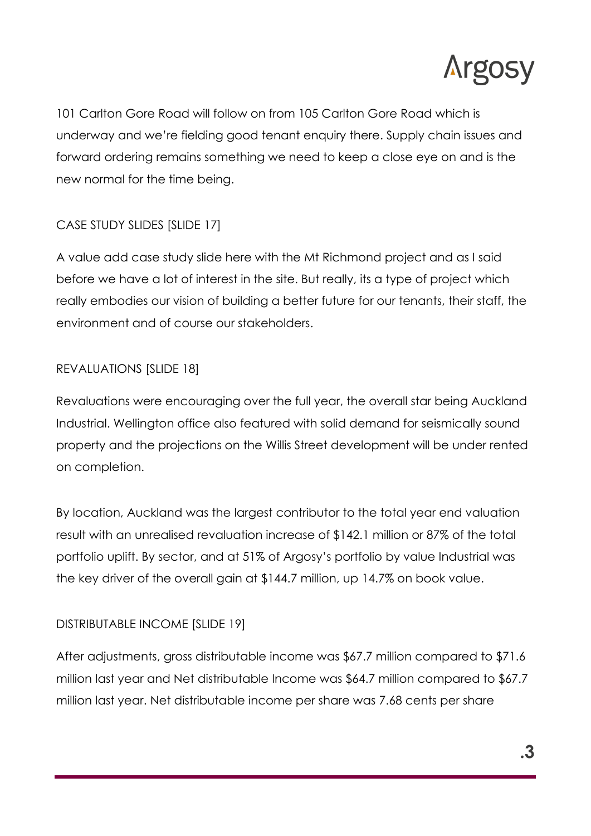

101 Carlton Gore Road will follow on from 105 Carlton Gore Road which is underway and we're fielding good tenant enquiry there. Supply chain issues and forward ordering remains something we need to keep a close eye on and is the new normal for the time being.

# CASE STUDY SLIDES [SLIDE 17]

A value add case study slide here with the Mt Richmond project and as I said before we have a lot of interest in the site. But really, its a type of project which really embodies our vision of building a better future for our tenants, their staff, the environment and of course our stakeholders.

# REVALUATIONS [SLIDE 18]

Revaluations were encouraging over the full year, the overall star being Auckland Industrial. Wellington office also featured with solid demand for seismically sound property and the projections on the Willis Street development will be under rented on completion.

By location, Auckland was the largest contributor to the total year end valuation result with an unrealised revaluation increase of \$142.1 million or 87% of the total portfolio uplift. By sector, and at 51% of Argosy's portfolio by value Industrial was the key driver of the overall gain at \$144.7 million, up 14.7% on book value.

## DISTRIBUTABLE INCOME [SLIDE 19]

After adjustments, gross distributable income was \$67.7 million compared to \$71.6 million last year and Net distributable Income was \$64.7 million compared to \$67.7 million last year. Net distributable income per share was 7.68 cents per share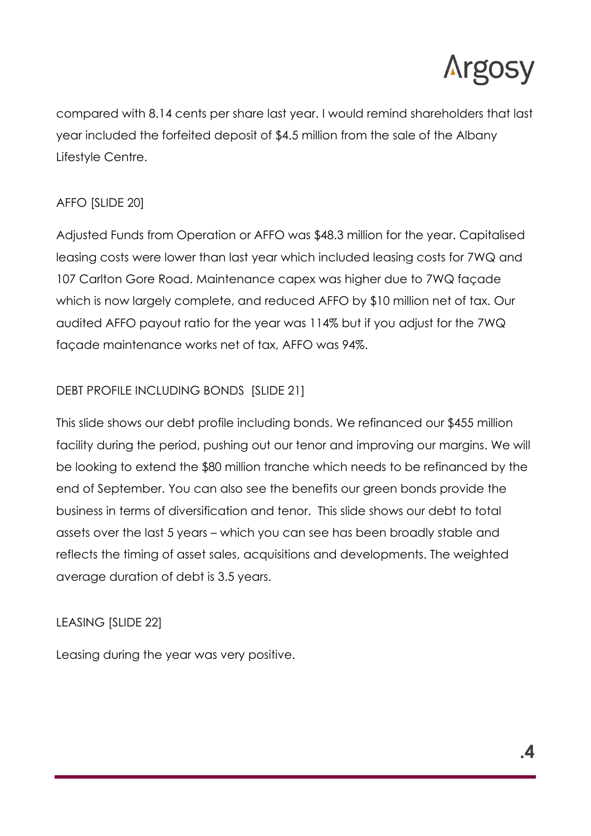

compared with 8.14 cents per share last year. I would remind shareholders that last year included the forfeited deposit of \$4.5 million from the sale of the Albany Lifestyle Centre.

# AFFO [SLIDE 20]

Adjusted Funds from Operation or AFFO was \$48.3 million for the year. Capitalised leasing costs were lower than last year which included leasing costs for 7WQ and 107 Carlton Gore Road. Maintenance capex was higher due to 7WQ façade which is now largely complete, and reduced AFFO by \$10 million net of tax. Our audited AFFO payout ratio for the year was 114% but if you adjust for the 7WQ façade maintenance works net of tax, AFFO was 94%.

# DEBT PROFILE INCLUDING BONDS [SLIDE 21]

This slide shows our debt profile including bonds. We refinanced our \$455 million facility during the period, pushing out our tenor and improving our margins. We will be looking to extend the \$80 million tranche which needs to be refinanced by the end of September. You can also see the benefits our green bonds provide the business in terms of diversification and tenor. This slide shows our debt to total assets over the last 5 years – which you can see has been broadly stable and reflects the timing of asset sales, acquisitions and developments. The weighted average duration of debt is 3.5 years.

## LEASING [SLIDE 22]

Leasing during the year was very positive.